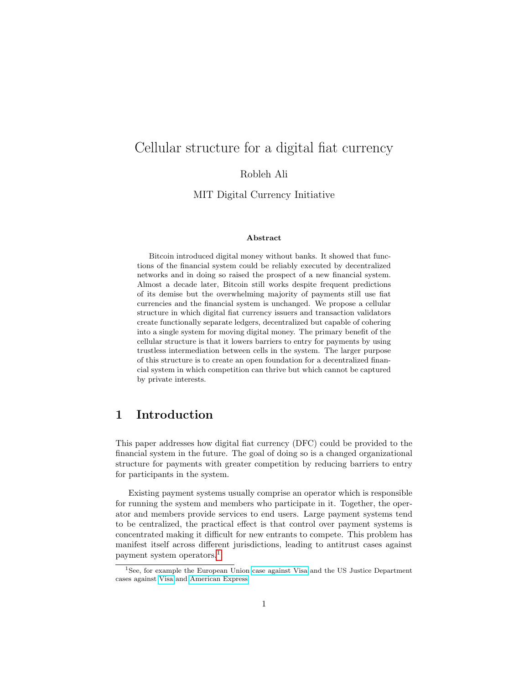# Cellular structure for a digital fiat currency

Robleh Ali

MIT Digital Currency Initiative

#### Abstract

Bitcoin introduced digital money without banks. It showed that functions of the financial system could be reliably executed by decentralized networks and in doing so raised the prospect of a new financial system. Almost a decade later, Bitcoin still works despite frequent predictions of its demise but the overwhelming majority of payments still use fiat currencies and the financial system is unchanged. We propose a cellular structure in which digital fiat currency issuers and transaction validators create functionally separate ledgers, decentralized but capable of cohering into a single system for moving digital money. The primary benefit of the cellular structure is that it lowers barriers to entry for payments by using trustless intermediation between cells in the system. The larger purpose of this structure is to create an open foundation for a decentralized financial system in which competition can thrive but which cannot be captured by private interests.

# 1 Introduction

This paper addresses how digital fiat currency (DFC) could be provided to the financial system in the future. The goal of doing so is a changed organizational structure for payments with greater competition by reducing barriers to entry for participants in the system.

Existing payment systems usually comprise an operator which is responsible for running the system and members who participate in it. Together, the operator and members provide services to end users. Large payment systems tend to be centralized, the practical effect is that control over payment systems is concentrated making it difficult for new entrants to compete. This problem has manifest itself across different jurisdictions, leading to antitrust cases against payment system operators.[1](#page-0-0)

<span id="page-0-0"></span><sup>&</sup>lt;sup>1</sup>See, for example the European Union [case against Visa](http://ec.europa.eu/competition/elojade/isef/case_details.cfm?proc_code=1_39398) and the US Justice Department cases against [Visa](https://www.justice.gov/atr/case-document/brief-united-states-final-version) and [American Express.](https://www.justice.gov/opa/pr/us-district-court-rules-american-express-violated-antitrust-laws)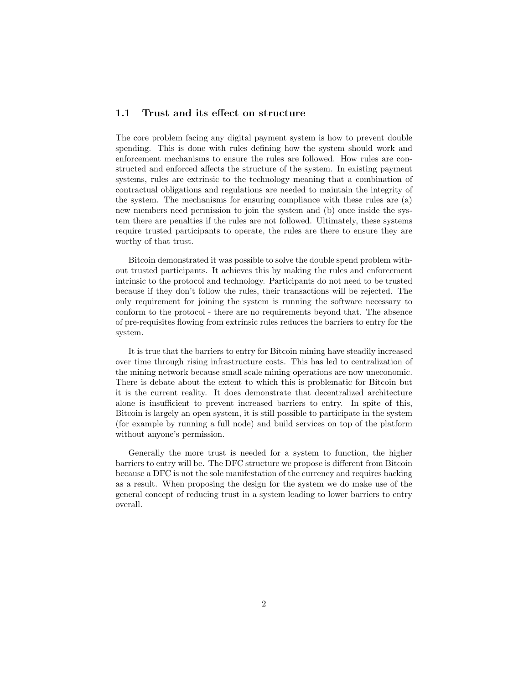## 1.1 Trust and its effect on structure

The core problem facing any digital payment system is how to prevent double spending. This is done with rules defining how the system should work and enforcement mechanisms to ensure the rules are followed. How rules are constructed and enforced affects the structure of the system. In existing payment systems, rules are extrinsic to the technology meaning that a combination of contractual obligations and regulations are needed to maintain the integrity of the system. The mechanisms for ensuring compliance with these rules are (a) new members need permission to join the system and (b) once inside the system there are penalties if the rules are not followed. Ultimately, these systems require trusted participants to operate, the rules are there to ensure they are worthy of that trust.

Bitcoin demonstrated it was possible to solve the double spend problem without trusted participants. It achieves this by making the rules and enforcement intrinsic to the protocol and technology. Participants do not need to be trusted because if they don't follow the rules, their transactions will be rejected. The only requirement for joining the system is running the software necessary to conform to the protocol - there are no requirements beyond that. The absence of pre-requisites flowing from extrinsic rules reduces the barriers to entry for the system.

It is true that the barriers to entry for Bitcoin mining have steadily increased over time through rising infrastructure costs. This has led to centralization of the mining network because small scale mining operations are now uneconomic. There is debate about the extent to which this is problematic for Bitcoin but it is the current reality. It does demonstrate that decentralized architecture alone is insufficient to prevent increased barriers to entry. In spite of this, Bitcoin is largely an open system, it is still possible to participate in the system (for example by running a full node) and build services on top of the platform without anyone's permission.

Generally the more trust is needed for a system to function, the higher barriers to entry will be. The DFC structure we propose is different from Bitcoin because a DFC is not the sole manifestation of the currency and requires backing as a result. When proposing the design for the system we do make use of the general concept of reducing trust in a system leading to lower barriers to entry overall.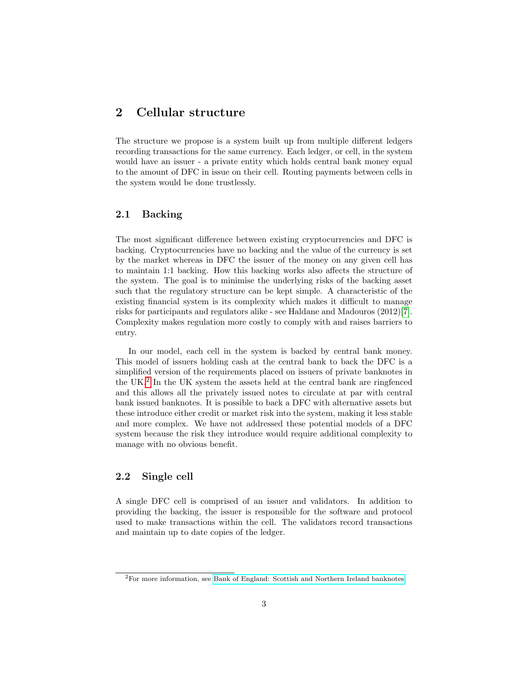# 2 Cellular structure

The structure we propose is a system built up from multiple different ledgers recording transactions for the same currency. Each ledger, or cell, in the system would have an issuer - a private entity which holds central bank money equal to the amount of DFC in issue on their cell. Routing payments between cells in the system would be done trustlessly.

### 2.1 Backing

The most significant difference between existing cryptocurrencies and DFC is backing. Cryptocurrencies have no backing and the value of the currency is set by the market whereas in DFC the issuer of the money on any given cell has to maintain 1:1 backing. How this backing works also affects the structure of the system. The goal is to minimise the underlying risks of the backing asset such that the regulatory structure can be kept simple. A characteristic of the existing financial system is its complexity which makes it difficult to manage risks for participants and regulators alike - see Haldane and Madouros (2012)[\[7\]](#page-10-0). Complexity makes regulation more costly to comply with and raises barriers to entry.

In our model, each cell in the system is backed by central bank money. This model of issuers holding cash at the central bank to back the DFC is a simplified version of the requirements placed on issuers of private banknotes in the UK.<sup>[2](#page-2-0)</sup> In the UK system the assets held at the central bank are ringfenced and this allows all the privately issued notes to circulate at par with central bank issued banknotes. It is possible to back a DFC with alternative assets but these introduce either credit or market risk into the system, making it less stable and more complex. We have not addressed these potential models of a DFC system because the risk they introduce would require additional complexity to manage with no obvious benefit.

#### 2.2 Single cell

A single DFC cell is comprised of an issuer and validators. In addition to providing the backing, the issuer is responsible for the software and protocol used to make transactions within the cell. The validators record transactions and maintain up to date copies of the ledger.

<span id="page-2-0"></span><sup>2</sup>For more information, see [Bank of England: Scottish and Northern Ireland banknotes.](https://www.bankofengland.co.uk/banknotes/scottish-and-northern-ireland-banknotes)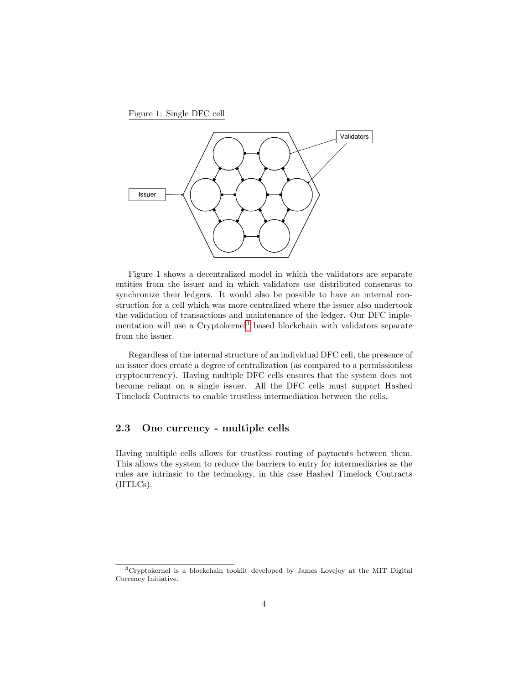Figure 1: Single DFC cell



Figure 1 shows a decentralized model in which the validators are separate entities from the issuer and in which validators use distributed consensus to synchronize their ledgers. It would also be possible to have an internal construction for a cell which was more centralized where the issuer also undertook the validation of transactions and maintenance of the ledger. Our DFC implementation will use a Cryptokernel[3](#page-3-0) based blockchain with validators separate from the issuer.

Regardless of the internal structure of an individual DFC cell, the presence of an issuer does create a degree of centralization (as compared to a permissionless cryptocurrency). Having multiple DFC cells ensures that the system does not become reliant on a single issuer. All the DFC cells must support Hashed Timelock Contracts to enable trustless intermediation between the cells.

#### 2.3 One currency - multiple cells

Having multiple cells allows for trustless routing of payments between them. This allows the system to reduce the barriers to entry for intermediaries as the rules are intrinsic to the technology, in this case Hashed Timelock Contracts (HTLCs).

<span id="page-3-0"></span><sup>3</sup>Cryptokernel is a blockchain tooklit developed by James Lovejoy at the MIT Digital Currency Initiative.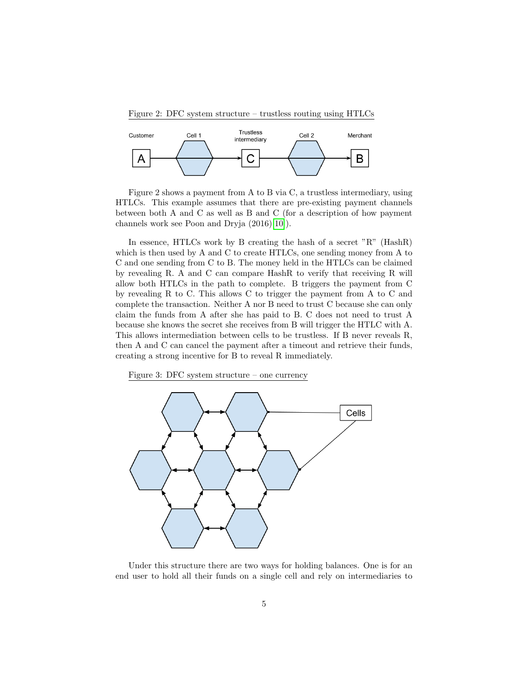Figure 2: DFC system structure – trustless routing using HTLCs



Figure 2 shows a payment from A to B via C, a trustless intermediary, using HTLCs. This example assumes that there are pre-existing payment channels between both A and C as well as B and C (for a description of how payment channels work see Poon and Dryja (2016)[\[10\]](#page-10-1)).

In essence, HTLCs work by B creating the hash of a secret "R" (HashR) which is then used by A and C to create HTLCs, one sending money from A to C and one sending from C to B. The money held in the HTLCs can be claimed by revealing R. A and C can compare HashR to verify that receiving R will allow both HTLCs in the path to complete. B triggers the payment from C by revealing R to C. This allows C to trigger the payment from A to C and complete the transaction. Neither A nor B need to trust C because she can only claim the funds from A after she has paid to B. C does not need to trust A because she knows the secret she receives from B will trigger the HTLC with A. This allows intermediation between cells to be trustless. If B never reveals R, then A and C can cancel the payment after a timeout and retrieve their funds, creating a strong incentive for B to reveal R immediately.

Figure 3: DFC system structure – one currency



Under this structure there are two ways for holding balances. One is for an end user to hold all their funds on a single cell and rely on intermediaries to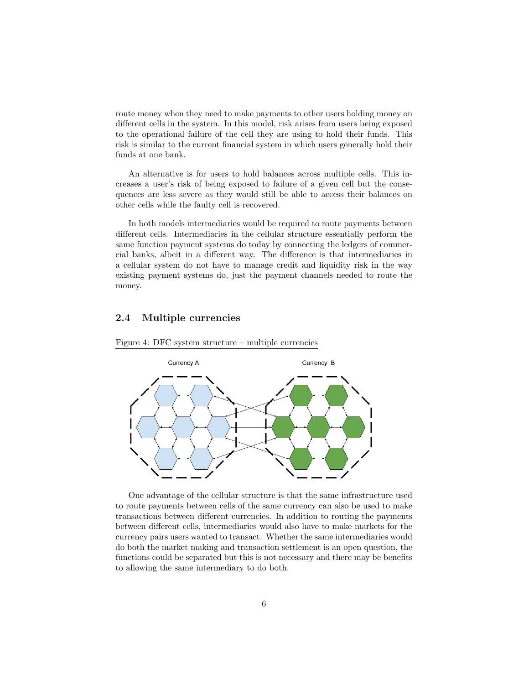route money when they need to make payments to other users holding money on different cells in the system. In this model, risk arises from users being exposed to the operational failure of the cell they are using to hold their funds. This risk is similar to the current financial system in which users generally hold their funds at one bank.

An alternative is for users to hold balances across multiple cells. This increases a user's risk of being exposed to failure of a given cell but the consequences are less severe as they would still be able to access their balances on other cells while the faulty cell is recovered.

In both models intermediaries would be required to route payments between different cells. Intermediaries in the cellular structure essentially perform the same function payment systems do today by connecting the ledgers of commercial banks, albeit in a different way. The difference is that intermediaries in a cellular system do not have to manage credit and liquidity risk in the way existing payment systems do, just the payment channels needed to route the money.

## 2.4 Multiple currencies





One advantage of the cellular structure is that the same infrastructure used to route payments between cells of the same currency can also be used to make transactions between different currencies. In addition to routing the payments between different cells, intermediaries would also have to make markets for the currency pairs users wanted to transact. Whether the same intermediaries would do both the market making and transaction settlement is an open question, the functions could be separated but this is not necessary and there may be benefits to allowing the same intermediary to do both.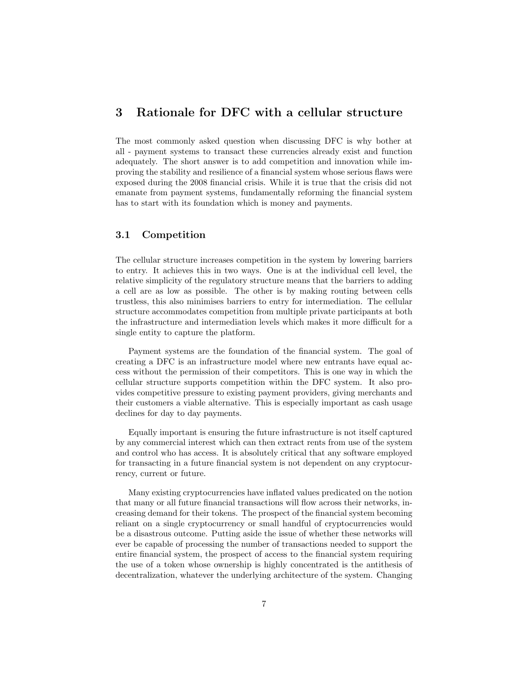## 3 Rationale for DFC with a cellular structure

The most commonly asked question when discussing DFC is why bother at all - payment systems to transact these currencies already exist and function adequately. The short answer is to add competition and innovation while improving the stability and resilience of a financial system whose serious flaws were exposed during the 2008 financial crisis. While it is true that the crisis did not emanate from payment systems, fundamentally reforming the financial system has to start with its foundation which is money and payments.

#### 3.1 Competition

The cellular structure increases competition in the system by lowering barriers to entry. It achieves this in two ways. One is at the individual cell level, the relative simplicity of the regulatory structure means that the barriers to adding a cell are as low as possible. The other is by making routing between cells trustless, this also minimises barriers to entry for intermediation. The cellular structure accommodates competition from multiple private participants at both the infrastructure and intermediation levels which makes it more difficult for a single entity to capture the platform.

Payment systems are the foundation of the financial system. The goal of creating a DFC is an infrastructure model where new entrants have equal access without the permission of their competitors. This is one way in which the cellular structure supports competition within the DFC system. It also provides competitive pressure to existing payment providers, giving merchants and their customers a viable alternative. This is especially important as cash usage declines for day to day payments.

Equally important is ensuring the future infrastructure is not itself captured by any commercial interest which can then extract rents from use of the system and control who has access. It is absolutely critical that any software employed for transacting in a future financial system is not dependent on any cryptocurrency, current or future.

Many existing cryptocurrencies have inflated values predicated on the notion that many or all future financial transactions will flow across their networks, increasing demand for their tokens. The prospect of the financial system becoming reliant on a single cryptocurrency or small handful of cryptocurrencies would be a disastrous outcome. Putting aside the issue of whether these networks will ever be capable of processing the number of transactions needed to support the entire financial system, the prospect of access to the financial system requiring the use of a token whose ownership is highly concentrated is the antithesis of decentralization, whatever the underlying architecture of the system. Changing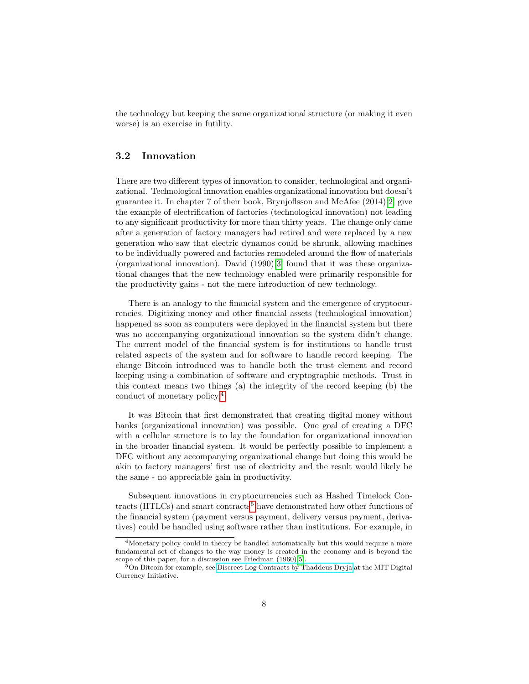the technology but keeping the same organizational structure (or making it even worse) is an exercise in futility.

## 3.2 Innovation

There are two different types of innovation to consider, technological and organizational. Technological innovation enables organizational innovation but doesn't guarantee it. In chapter 7 of their book, Brynjoflsson and McAfee (2014)[\[2\]](#page-10-2) give the example of electrification of factories (technological innovation) not leading to any significant productivity for more than thirty years. The change only came after a generation of factory managers had retired and were replaced by a new generation who saw that electric dynamos could be shrunk, allowing machines to be individually powered and factories remodeled around the flow of materials (organizational innovation). David (1990)[\[3\]](#page-10-3) found that it was these organizational changes that the new technology enabled were primarily responsible for the productivity gains - not the mere introduction of new technology.

There is an analogy to the financial system and the emergence of cryptocurrencies. Digitizing money and other financial assets (technological innovation) happened as soon as computers were deployed in the financial system but there was no accompanying organizational innovation so the system didn't change. The current model of the financial system is for institutions to handle trust related aspects of the system and for software to handle record keeping. The change Bitcoin introduced was to handle both the trust element and record keeping using a combination of software and cryptographic methods. Trust in this context means two things (a) the integrity of the record keeping (b) the conduct of monetary policy.[4](#page-7-0)

It was Bitcoin that first demonstrated that creating digital money without banks (organizational innovation) was possible. One goal of creating a DFC with a cellular structure is to lay the foundation for organizational innovation in the broader financial system. It would be perfectly possible to implement a DFC without any accompanying organizational change but doing this would be akin to factory managers' first use of electricity and the result would likely be the same - no appreciable gain in productivity.

Subsequent innovations in cryptocurrencies such as Hashed Timelock Con-tracts (HTLCs) and smart contracts<sup>[5](#page-7-1)</sup> have demonstrated how other functions of the financial system (payment versus payment, delivery versus payment, derivatives) could be handled using software rather than institutions. For example, in

<span id="page-7-0"></span><sup>&</sup>lt;sup>4</sup>Monetary policy could in theory be handled automatically but this would require a more fundamental set of changes to the way money is created in the economy and is beyond the scope of this paper, for a discussion see Friedman  $(1960)[5]$  $(1960)[5]$ .

<span id="page-7-1"></span><sup>&</sup>lt;sup>5</sup>On Bitcoin for example, see [Discreet Log Contracts by Thaddeus Dryja](https://adiabat.github.io/dlc.pdf) at the MIT Digital Currency Initiative.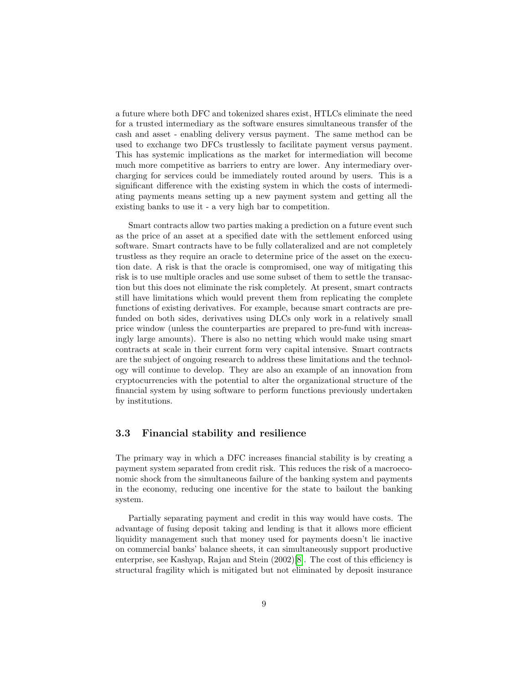a future where both DFC and tokenized shares exist, HTLCs eliminate the need for a trusted intermediary as the software ensures simultaneous transfer of the cash and asset - enabling delivery versus payment. The same method can be used to exchange two DFCs trustlessly to facilitate payment versus payment. This has systemic implications as the market for intermediation will become much more competitive as barriers to entry are lower. Any intermediary overcharging for services could be immediately routed around by users. This is a significant difference with the existing system in which the costs of intermediating payments means setting up a new payment system and getting all the existing banks to use it - a very high bar to competition.

Smart contracts allow two parties making a prediction on a future event such as the price of an asset at a specified date with the settlement enforced using software. Smart contracts have to be fully collateralized and are not completely trustless as they require an oracle to determine price of the asset on the execution date. A risk is that the oracle is compromised, one way of mitigating this risk is to use multiple oracles and use some subset of them to settle the transaction but this does not eliminate the risk completely. At present, smart contracts still have limitations which would prevent them from replicating the complete functions of existing derivatives. For example, because smart contracts are prefunded on both sides, derivatives using DLCs only work in a relatively small price window (unless the counterparties are prepared to pre-fund with increasingly large amounts). There is also no netting which would make using smart contracts at scale in their current form very capital intensive. Smart contracts are the subject of ongoing research to address these limitations and the technology will continue to develop. They are also an example of an innovation from cryptocurrencies with the potential to alter the organizational structure of the financial system by using software to perform functions previously undertaken by institutions.

#### 3.3 Financial stability and resilience

The primary way in which a DFC increases financial stability is by creating a payment system separated from credit risk. This reduces the risk of a macroeconomic shock from the simultaneous failure of the banking system and payments in the economy, reducing one incentive for the state to bailout the banking system.

Partially separating payment and credit in this way would have costs. The advantage of fusing deposit taking and lending is that it allows more efficient liquidity management such that money used for payments doesn't lie inactive on commercial banks' balance sheets, it can simultaneously support productive enterprise, see Kashyap, Rajan and Stein (2002)[\[8\]](#page-10-5). The cost of this efficiency is structural fragility which is mitigated but not eliminated by deposit insurance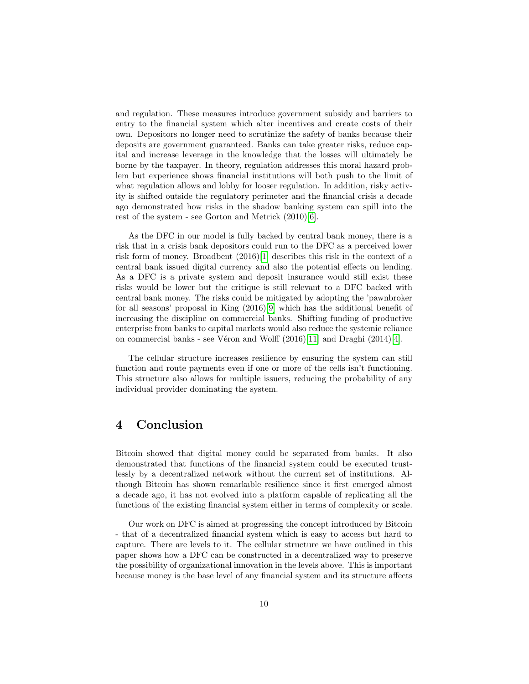and regulation. These measures introduce government subsidy and barriers to entry to the financial system which alter incentives and create costs of their own. Depositors no longer need to scrutinize the safety of banks because their deposits are government guaranteed. Banks can take greater risks, reduce capital and increase leverage in the knowledge that the losses will ultimately be borne by the taxpayer. In theory, regulation addresses this moral hazard problem but experience shows financial institutions will both push to the limit of what regulation allows and lobby for looser regulation. In addition, risky activity is shifted outside the regulatory perimeter and the financial crisis a decade ago demonstrated how risks in the shadow banking system can spill into the rest of the system - see Gorton and Metrick (2010)[\[6\]](#page-10-6).

As the DFC in our model is fully backed by central bank money, there is a risk that in a crisis bank depositors could run to the DFC as a perceived lower risk form of money. Broadbent (2016)[\[1\]](#page-10-7) describes this risk in the context of a central bank issued digital currency and also the potential effects on lending. As a DFC is a private system and deposit insurance would still exist these risks would be lower but the critique is still relevant to a DFC backed with central bank money. The risks could be mitigated by adopting the 'pawnbroker for all seasons' proposal in King (2016)[\[9\]](#page-10-8) which has the additional benefit of increasing the discipline on commercial banks. Shifting funding of productive enterprise from banks to capital markets would also reduce the systemic reliance on commercial banks - see Véron and Wolff  $(2016)[11]$  $(2016)[11]$  and Draghi  $(2014)[4]$  $(2014)[4]$ .

The cellular structure increases resilience by ensuring the system can still function and route payments even if one or more of the cells isn't functioning. This structure also allows for multiple issuers, reducing the probability of any individual provider dominating the system.

# 4 Conclusion

Bitcoin showed that digital money could be separated from banks. It also demonstrated that functions of the financial system could be executed trustlessly by a decentralized network without the current set of institutions. Although Bitcoin has shown remarkable resilience since it first emerged almost a decade ago, it has not evolved into a platform capable of replicating all the functions of the existing financial system either in terms of complexity or scale.

Our work on DFC is aimed at progressing the concept introduced by Bitcoin - that of a decentralized financial system which is easy to access but hard to capture. There are levels to it. The cellular structure we have outlined in this paper shows how a DFC can be constructed in a decentralized way to preserve the possibility of organizational innovation in the levels above. This is important because money is the base level of any financial system and its structure affects